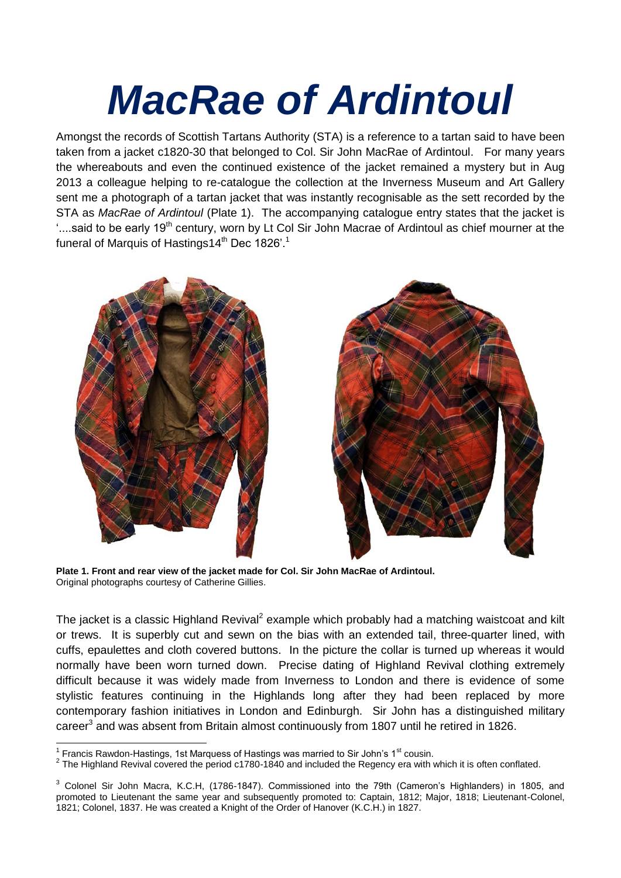## *MacRae of Ardintoul*

Amongst the records of Scottish Tartans Authority (STA) is a reference to a tartan said to have been taken from a jacket c1820-30 that belonged to Col. Sir John MacRae of Ardintoul. For many years the whereabouts and even the continued existence of the jacket remained a mystery but in Aug 2013 a colleague helping to re-catalogue the collection at the Inverness Museum and Art Gallery sent me a photograph of a tartan jacket that was instantly recognisable as the sett recorded by the STA as *MacRae of Ardintoul* (Plate 1). The accompanying catalogue entry states that the jacket is '....said to be early 19<sup>th</sup> century, worn by Lt Col Sir John Macrae of Ardintoul as chief mourner at the funeral of Marquis of Hastings14<sup>th</sup> Dec 1826'.<sup>1</sup>





**Plate 1. Front and rear view of the jacket made for Col. Sir John MacRae of Ardintoul.** Original photographs courtesy of Catherine Gillies.

The jacket is a classic Highland Revival<sup>2</sup> example which probably had a matching waistcoat and kilt or trews. It is superbly cut and sewn on the bias with an extended tail, three-quarter lined, with cuffs, epaulettes and cloth covered buttons. In the picture the collar is turned up whereas it would normally have been worn turned down. Precise dating of Highland Revival clothing extremely difficult because it was widely made from Inverness to London and there is evidence of some stylistic features continuing in the Highlands long after they had been replaced by more contemporary fashion initiatives in London and Edinburgh. Sir John has a distinguished military career<sup>3</sup> and was absent from Britain almost continuously from 1807 until he retired in 1826.

 $\overline{a}$ <sup>1</sup> Francis Rawdon-Hastings, 1st Marquess of Hastings was married to Sir John's 1<sup>st</sup> cousin.

 $2$  The Highland Revival covered the period c1780-1840 and included the Regency era with which it is often conflated.

<sup>&</sup>lt;sup>3</sup> Colonel Sir John Macra, K.C.H, (1786-1847). Commissioned into the 79th (Cameron's Highlanders) in 1805, and promoted to Lieutenant the same year and subsequently promoted to: Captain, 1812; Major, 1818; Lieutenant-Colonel, 1821; Colonel, 1837. He was created a Knight of the Order of Hanover (K.C.H.) in 1827.